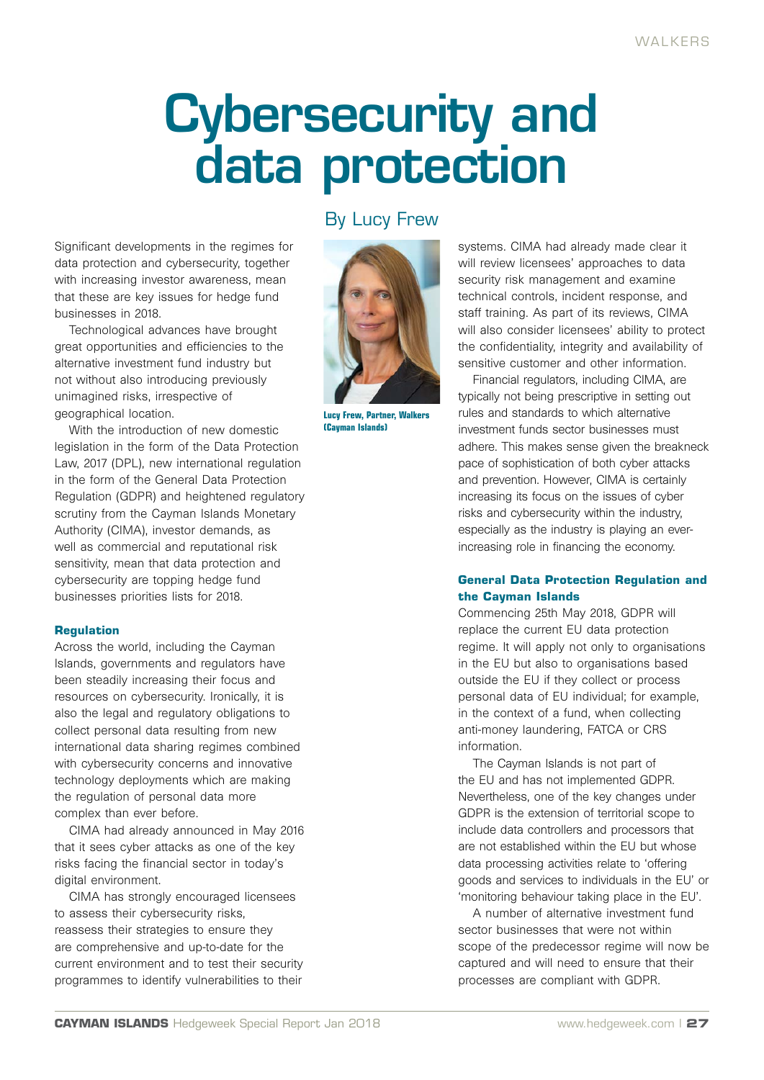# Cybersecurity and data protection

Significant developments in the regimes for data protection and cybersecurity, together with increasing investor awareness, mean that these are key issues for hedge fund businesses in 2018.

Technological advances have brought great opportunities and efficiencies to the alternative investment fund industry but not without also introducing previously unimagined risks, irrespective of geographical location.

With the introduction of new domestic legislation in the form of the Data Protection Law, 2017 (DPL), new international regulation in the form of the General Data Protection Regulation (GDPR) and heightened regulatory scrutiny from the Cayman Islands Monetary Authority (CIMA), investor demands, as well as commercial and reputational risk sensitivity, mean that data protection and cybersecurity are topping hedge fund businesses priorities lists for 2018.

### **Regulation**

Across the world, including the Cayman Islands, governments and regulators have been steadily increasing their focus and resources on cybersecurity. Ironically, it is also the legal and regulatory obligations to collect personal data resulting from new international data sharing regimes combined with cybersecurity concerns and innovative technology deployments which are making the regulation of personal data more complex than ever before.

CIMA had already announced in May 2016 that it sees cyber attacks as one of the key risks facing the financial sector in today's digital environment.

CIMA has strongly encouraged licensees to assess their cybersecurity risks, reassess their strategies to ensure they are comprehensive and up-to-date for the current environment and to test their security programmes to identify vulnerabilities to their

# By Lucy Frew



**Lucy Frew, Partner, Walkers (Cayman Islands)**

systems. CIMA had already made clear it will review licensees' approaches to data security risk management and examine technical controls, incident response, and staff training. As part of its reviews, CIMA will also consider licensees' ability to protect the confidentiality, integrity and availability of sensitive customer and other information.

Financial regulators, including CIMA, are typically not being prescriptive in setting out rules and standards to which alternative investment funds sector businesses must adhere. This makes sense given the breakneck pace of sophistication of both cyber attacks and prevention. However, CIMA is certainly increasing its focus on the issues of cyber risks and cybersecurity within the industry, especially as the industry is playing an everincreasing role in financing the economy.

# **General Data Protection Regulation and the Cayman Islands**

Commencing 25th May 2018, GDPR will replace the current EU data protection regime. It will apply not only to organisations in the EU but also to organisations based outside the EU if they collect or process personal data of EU individual; for example, in the context of a fund, when collecting anti-money laundering, FATCA or CRS information.

The Cayman Islands is not part of the EU and has not implemented GDPR. Nevertheless, one of the key changes under GDPR is the extension of territorial scope to include data controllers and processors that are not established within the EU but whose data processing activities relate to 'offering goods and services to individuals in the EU' or 'monitoring behaviour taking place in the EU'.

A number of alternative investment fund sector businesses that were not within scope of the predecessor regime will now be captured and will need to ensure that their processes are compliant with GDPR.